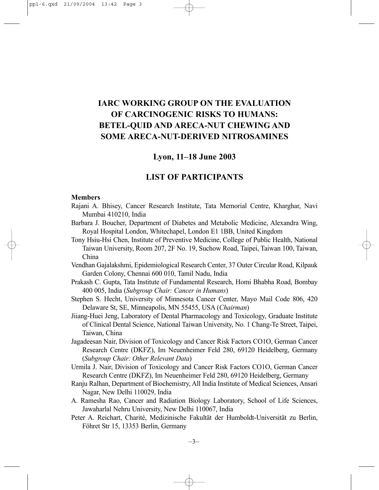# **IARC WORKING GROUP ON THE EVALUATION OF CARCINOGENIC RISKS TO HUMANS: BETEL-QUID AND ARECA-NUT CHEWING AND SOME ARECA-NUT-DERIVED NITROSAMINES**

### **Lyon, 11–18 June 2003**

## **LIST OF PARTICIPANTS**

#### **Members**

- Rajani A. Bhisey, Cancer Research Institute, Tata Memorial Centre, Kharghar, Navi Mumbai 410210, India
- Barbara J. Boucher, Department of Diabetes and Metabolic Medicine, Alexandra Wing, Royal Hospital London, Whitechapel, London E1 1BB, United Kingdom
- Tony Hsiu-Hsi Chen, Institute of Preventive Medicine, College of Public Health, National Taiwan University, Room 207, 2F No. 19, Suchow Road, Taipei, Taiwan 100, Taiwan, China
- Vendhan Gajalakshmi, Epidemiological Research Center, 37 Outer Circular Road, Kilpauk Garden Colony, Chennai 600 010, Tamil Nadu, India
- Prakash C. Gupta, Tata Institute of Fundamental Research, Homi Bhabha Road, Bombay 400 005, India (*Subgroup Chair: Cancer in Humans*)
- Stephen S. Hecht, University of Minnesota Cancer Center, Mayo Mail Code 806, 420 Delaware St, SE, Minneapolis, MN 55455, USA (*Chairman*)
- Jiiang-Huei Jeng, Laboratory of Dental Pharmacology and Toxicology, Graduate Institute of Clinical Dental Science, National Taiwan University, No. 1 Chang-Te Street, Taipei, Taiwan, China
- Jagadeesan Nair, Division of Toxicology and Cancer Risk Factors CO1O, German Cancer Research Centre (DKFZ), Im Neuenheimer Feld 280, 69120 Heidelberg, Germany (*Subgroup Chair: Other Relevant Data*)
- Urmila J. Nair, Division of Toxicology and Cancer Risk Factors CO1O, German Cancer Research Centre (DKFZ), Im Neuenheimer Feld 280, 69120 Heidelberg, Germany
- Ranju Ralhan, Department of Biochemistry, All India Institute of Medical Sciences, Ansari Nagar, New Delhi 110029, India
- A. Ramesha Rao, Cancer and Radiation Biology Laboratory, School of Life Sciences, Jawaharlal Nehru University, New Delhi 110067, India
- Peter A. Reichart, Charité, Medizinische Fakultät der Humboldt-Universität zu Berlin, Föhret Str 15, 13353 Berlin, Germany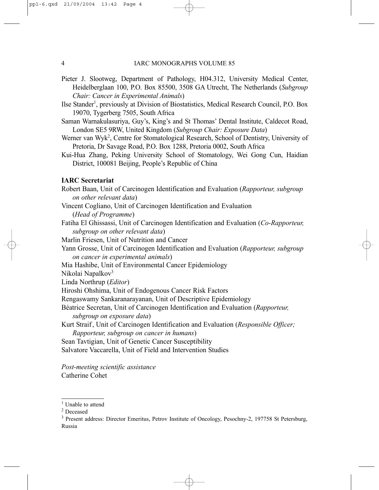- Pieter J. Slootweg, Department of Pathology, H04.312, University Medical Center, Heidelberglaan 100, P.O. Box 85500, 3508 GA Utrecht, The Netherlands (*Subgroup Chair: Cancer in Experimental Animals*)
- Ilse Stander<sup>1</sup>, previously at Division of Biostatistics, Medical Research Council, P.O. Box 19070, Tygerberg 7505, South Africa
- Saman Warnakulasuriya, Guy's, King's and St Thomas' Dental Institute, Caldecot Road, London SE5 9RW, United Kingdom (*Subgroup Chair: Exposure Data*)
- Werner van Wyk<sup>2</sup>, Centre for Stomatological Research, School of Dentistry, University of Pretoria, Dr Savage Road, P.O. Box 1288, Pretoria 0002, South Africa
- Kui-Hua Zhang, Peking University School of Stomatology, Wei Gong Cun, Haidian District, 100081 Beijing, People's Republic of China

### **IARC Secretariat**

Robert Baan, Unit of Carcinogen Identification and Evaluation (*Rapporteur, subgroup on other relevant data*) Vincent Cogliano, Unit of Carcinogen Identification and Evaluation (*Head of Programme*) Fatiha El Ghissassi, Unit of Carcinogen Identification and Evaluation (*Co-Rapporteur, subgroup on other relevant data*) Marlin Friesen, Unit of Nutrition and Cancer Yann Grosse, Unit of Carcinogen Identification and Evaluation (*Rapporteur, subgroup on cancer in experimental animals*) Mia Hashibe, Unit of Environmental Cancer Epidemiology Nikolai Napalkov<sup>3</sup> Linda Northrup (*Editor*) Hiroshi Ohshima, Unit of Endogenous Cancer Risk Factors Rengaswamy Sankaranarayanan, Unit of Descriptive Epidemiology Béatrice Secretan, Unit of Carcinogen Identification and Evaluation (*Rapporteur, subgroup on exposure data*) Kurt Straif , Unit of Carcinogen Identification and Evaluation (*Responsible Officer; Rapporteur, subgroup on cancer in humans*) Sean Tavtigian, Unit of Genetic Cancer Susceptibility Salvatore Vaccarella, Unit of Field and Intervention Studies

*Post-meeting scientific assistance* Catherine Cohet

<sup>&</sup>lt;sup>1</sup> Unable to attend

<sup>2</sup> Deceased

<sup>3</sup> Present address: Director Emeritus, Petrov Institute of Oncology, Pesochny-2, 197758 St Petersburg, Russia